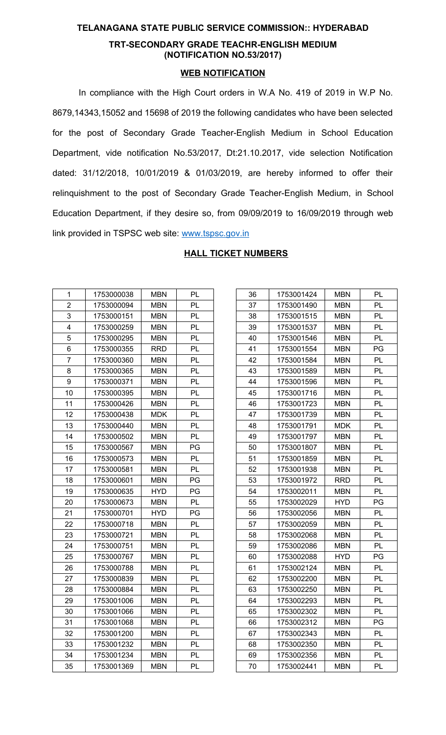## **TELANAGANA STATE PUBLIC SERVICE COMMISSION:: HYDERABAD**

## **TRT-SECONDARY GRADE TEACHR-ENGLISH MEDIUM (NOTIFICATION NO.53/2017)**

## **WEB NOTIFICATION**

In compliance with the High Court orders in W.A No. 419 of 2019 in W.P No. 8679,14343,15052 and 15698 of 2019 the following candidates who have been selected for the post of Secondary Grade Teacher-English Medium in School Education Department, vide notification No.53/2017, Dt:21.10.2017, vide selection Notification dated: 31/12/2018, 10/01/2019 & 01/03/2019, are hereby informed to offer their relinquishment to the post of Secondary Grade Teacher-English Medium, in School Education Department, if they desire so, from 09/09/2019 to 16/09/2019 through web link provided in TSPSC web site: [www.tspsc.gov.in](http://www.tspsc.gov.in/)

| 1              | 1753000038 | <b>MBN</b> | PL |
|----------------|------------|------------|----|
| $\overline{2}$ | 1753000094 | <b>MBN</b> | PL |
| 3              | 1753000151 | <b>MBN</b> | PL |
| 4              | 1753000259 | <b>MBN</b> | PL |
| 5              | 1753000295 | <b>MBN</b> | PL |
| 6              | 1753000355 | <b>RRD</b> | PL |
| $\overline{7}$ | 1753000360 | <b>MBN</b> | PL |
| 8              | 1753000365 | <b>MBN</b> | PL |
| 9              | 1753000371 | <b>MBN</b> | PL |
| 10             | 1753000395 | <b>MBN</b> | PL |
| 11             | 1753000426 | <b>MBN</b> | PL |
| 12             | 1753000438 | <b>MDK</b> | PL |
| 13             | 1753000440 | <b>MBN</b> | PL |
| 14             | 1753000502 | <b>MBN</b> | PL |
| 15             | 1753000567 | MBN        | PG |
| 16             | 1753000573 | <b>MBN</b> | PL |
| 17             | 1753000581 | <b>MBN</b> | PL |
| 18             | 1753000601 | <b>MBN</b> | PG |
| 19             | 1753000635 | <b>HYD</b> | PG |
| 20             | 1753000673 | <b>MBN</b> | PL |
| 21             | 1753000701 | <b>HYD</b> | PG |
| 22             | 1753000718 | <b>MBN</b> | PL |
| 23             | 1753000721 | <b>MBN</b> | PL |
| 24             | 1753000751 | <b>MBN</b> | PL |
| 25             | 1753000767 | <b>MBN</b> | PL |
| 26             | 1753000788 | <b>MBN</b> | PL |
| 27             | 1753000839 | <b>MBN</b> | PL |
| 28             | 1753000884 | <b>MBN</b> | PL |
| 29             | 1753001006 | <b>MBN</b> | PL |
| 30             | 1753001066 | <b>MBN</b> | PL |
| 31             | 1753001068 | <b>MBN</b> | PL |
| 32             | 1753001200 | <b>MBN</b> | PL |
| 33             | 1753001232 | <b>MBN</b> | PL |
| 34             | 1753001234 | <b>MBN</b> | PL |
| 35             | 1753001369 | <b>MBN</b> | PL |

## **HALL TICKET NUMBERS**

| 36 | 1753001424 | <b>MBN</b> | PL        |
|----|------------|------------|-----------|
| 37 | 1753001490 | <b>MBN</b> | PL        |
| 38 | 1753001515 | <b>MBN</b> | PL        |
| 39 | 1753001537 | <b>MBN</b> | PL        |
| 40 | 1753001546 | <b>MBN</b> | PL        |
| 41 | 1753001554 | <b>MBN</b> | PG        |
| 42 | 1753001584 | <b>MBN</b> | PL        |
| 43 | 1753001589 | <b>MBN</b> | PL        |
| 44 | 1753001596 | <b>MBN</b> | PL        |
| 45 | 1753001716 | <b>MBN</b> | PL        |
| 46 | 1753001723 | <b>MBN</b> | PL        |
| 47 | 1753001739 | <b>MBN</b> | PL        |
| 48 | 1753001791 | <b>MDK</b> | PL        |
| 49 | 1753001797 | <b>MBN</b> | PL        |
| 50 | 1753001807 | <b>MBN</b> | PL        |
| 51 | 1753001859 | <b>MBN</b> | PL        |
| 52 | 1753001938 | <b>MBN</b> | PL        |
| 53 | 1753001972 | <b>RRD</b> | PL        |
| 54 | 1753002011 | <b>MBN</b> | <b>PL</b> |
| 55 | 1753002029 | <b>HYD</b> | PG        |
| 56 | 1753002056 | <b>MBN</b> | PL        |
| 57 | 1753002059 | <b>MBN</b> | PL        |
| 58 | 1753002068 | <b>MBN</b> | PL        |
| 59 | 1753002086 | <b>MBN</b> | PL        |
| 60 | 1753002088 | <b>HYD</b> | PG        |
| 61 | 1753002124 | <b>MBN</b> | PL        |
| 62 | 1753002200 | <b>MBN</b> | PL        |
| 63 | 1753002250 | <b>MBN</b> | PL        |
| 64 | 1753002293 | <b>MBN</b> | PL        |
| 65 | 1753002302 | <b>MBN</b> | PL        |
| 66 | 1753002312 | <b>MBN</b> | PG        |
| 67 | 1753002343 | <b>MBN</b> | PL        |
| 68 | 1753002350 | <b>MBN</b> | PL        |
| 69 | 1753002356 | <b>MBN</b> | PL        |
| 70 | 1753002441 | <b>MBN</b> | PL        |
|    |            |            |           |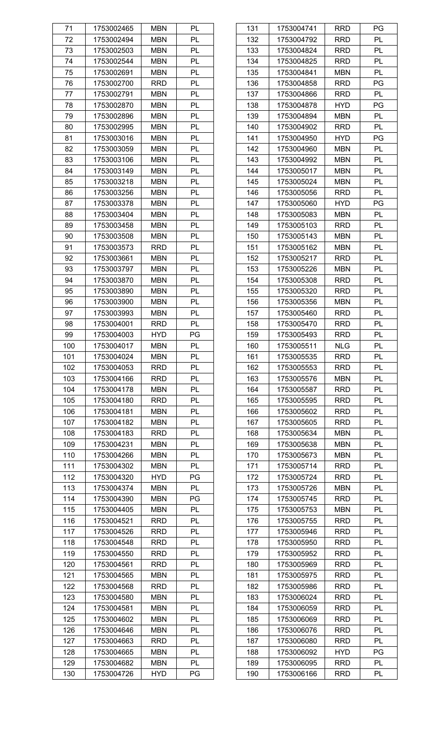| 71  | 1753002465 | <b>MBN</b> | PL |
|-----|------------|------------|----|
| 72  | 1753002494 | <b>MBN</b> | PL |
| 73  | 1753002503 | <b>MBN</b> | PL |
| 74  | 1753002544 | <b>MBN</b> | PL |
| 75  | 1753002691 | <b>MBN</b> | PL |
| 76  | 1753002700 | <b>RRD</b> | PL |
| 77  | 1753002791 | <b>MBN</b> | PL |
| 78  | 1753002870 | <b>MBN</b> | PL |
| 79  | 1753002896 | <b>MBN</b> | PL |
| 80  | 1753002995 | <b>MBN</b> | PL |
| 81  | 1753003016 | <b>MBN</b> | PL |
| 82  | 1753003059 | <b>MBN</b> | PL |
| 83  | 1753003106 | <b>MBN</b> | PL |
| 84  | 1753003149 | <b>MBN</b> | PL |
| 85  | 1753003218 | <b>MBN</b> | PL |
|     |            |            |    |
| 86  | 1753003256 | <b>MBN</b> | PL |
| 87  | 1753003378 | <b>MBN</b> | PL |
| 88  | 1753003404 | <b>MBN</b> | PL |
| 89  | 1753003458 | <b>MBN</b> | PL |
| 90  | 1753003508 | <b>MBN</b> | PL |
| 91  | 1753003573 | <b>RRD</b> | PL |
| 92  | 1753003661 | <b>MBN</b> | PL |
| 93  | 1753003797 | <b>MBN</b> | PL |
| 94  | 1753003870 | <b>MBN</b> | PL |
| 95  | 1753003890 | <b>MBN</b> | PL |
| 96  | 1753003900 | <b>MBN</b> | PL |
| 97  | 1753003993 | <b>MBN</b> | PL |
| 98  | 1753004001 | <b>RRD</b> | PL |
| 99  | 1753004003 | <b>HYD</b> | PG |
| 100 | 1753004017 | <b>MBN</b> | PL |
| 101 | 1753004024 | <b>MBN</b> | PL |
| 102 | 1753004053 | <b>RRD</b> | PL |
| 103 | 1753004166 | <b>RRD</b> | PL |
| 104 | 1753004178 | <b>MBN</b> | PL |
| 105 | 1753004180 | <b>RRD</b> | PL |
| 106 | 1753004181 | <b>MBN</b> | PL |
| 107 | 1753004182 | <b>MBN</b> | PL |
| 108 | 1753004183 | <b>RRD</b> | PL |
| 109 | 1753004231 | <b>MBN</b> | PL |
| 110 | 1753004266 | <b>MBN</b> | PL |
| 111 | 1753004302 | <b>MBN</b> | PL |
| 112 | 1753004320 | <b>HYD</b> | PG |
| 113 | 1753004374 | <b>MBN</b> | PL |
| 114 | 1753004390 | <b>MBN</b> | PG |
| 115 | 1753004405 | <b>MBN</b> | PL |
|     |            |            |    |
| 116 | 1753004521 | <b>RRD</b> | PL |
| 117 | 1753004526 | <b>RRD</b> | PL |
| 118 | 1753004548 | <b>RRD</b> | PL |
| 119 | 1753004550 | <b>RRD</b> | PL |
| 120 | 1753004561 | <b>RRD</b> | PL |
| 121 | 1753004565 | <b>MBN</b> | PL |
| 122 | 1753004568 | <b>RRD</b> | PL |
| 123 | 1753004580 | <b>MBN</b> | PL |
| 124 | 1753004581 | <b>MBN</b> | PL |
| 125 | 1753004602 | <b>MBN</b> | PL |
| 126 | 1753004646 | <b>MBN</b> | PL |
| 127 | 1753004663 | <b>RRD</b> | PL |
| 128 | 1753004665 | <b>MBN</b> | PL |
| 129 | 1753004682 | <b>MBN</b> | PL |
| 130 | 1753004726 | <b>HYD</b> | PG |

| 131 | 1753004741               | RRD        | PG        |
|-----|--------------------------|------------|-----------|
| 132 | 1753004792               | <b>RRD</b> | <b>PL</b> |
| 133 | 1753004824               | <b>RRD</b> | PL        |
| 134 | 1753004825               | <b>RRD</b> | PL        |
| 135 | 1753004841               | <b>MBN</b> | PL        |
| 136 | 1753004858               | <b>RRD</b> | PG        |
| 137 | 1753004866               | <b>RRD</b> | PL        |
| 138 | 1753004878               | <b>HYD</b> | PG        |
| 139 | 1753004894               | <b>MBN</b> | PL        |
| 140 | 1753004902               | <b>RRD</b> | PL        |
| 141 | 1753004950               | <b>HYD</b> | PG        |
| 142 | 1753004960               | <b>MBN</b> | PL        |
| 143 | 1753004992               | <b>MBN</b> | PL        |
| 144 | 1753005017               | <b>MBN</b> | PL        |
| 145 | 1753005024               | <b>MBN</b> | PL        |
| 146 | 1753005056               | <b>RRD</b> | PL        |
| 147 | 1753005060               | <b>HYD</b> | PG        |
| 148 |                          | <b>MBN</b> | PL        |
| 149 | 1753005083<br>1753005103 |            | PL        |
|     | 1753005143               | <b>RRD</b> | PL        |
| 150 |                          | <b>MBN</b> |           |
| 151 | 1753005162               | <b>MBN</b> | PL        |
| 152 | 1753005217               | <b>RRD</b> | PL        |
| 153 | 1753005226               | <b>MBN</b> | PL        |
| 154 | 1753005308               | <b>RRD</b> | PL        |
| 155 | 1753005320               | <b>RRD</b> | PL        |
| 156 | 1753005356               | <b>MBN</b> | PL        |
| 157 | 1753005460               | <b>RRD</b> | PL        |
| 158 | 1753005470               | <b>RRD</b> | PL        |
| 159 | 1753005493               | <b>RRD</b> | PL        |
| 160 | 1753005511               | <b>NLG</b> | PL        |
| 161 | 1753005535               | RRD        | PL        |
| 162 | 1753005553               | <b>RRD</b> | PL        |
| 163 | 1753005576               | <b>MBN</b> | PL        |
| 164 | 1753005587               | <b>RRD</b> | PL        |
| 165 | 1753005595               | <b>RRD</b> | PL        |
| 166 | 1753005602               | <b>RRD</b> | PL        |
| 167 | 1753005605               | <b>RRD</b> | PL        |
| 168 | 1753005634               | <b>MBN</b> | PL        |
| 169 | 1753005638               | <b>MBN</b> | PL        |
| 170 | 1753005673               | <b>MBN</b> | PL        |
| 171 | 1753005714               | <b>RRD</b> | PL        |
| 172 | 1753005724               | <b>RRD</b> | PL        |
| 173 | 1753005726               | <b>MBN</b> | PL        |
| 174 | 1753005745               | <b>RRD</b> | PL        |
| 175 | 1753005753               | <b>MBN</b> | PL        |
| 176 | 1753005755               | <b>RRD</b> | PL        |
| 177 | 1753005946               | <b>RRD</b> | PL        |
| 178 | 1753005950               | <b>RRD</b> | PL        |
| 179 | 1753005952               | RRD        | PL        |
| 180 | 1753005969               | <b>RRD</b> | PL        |
| 181 | 1753005975               | <b>RRD</b> | PL        |
| 182 | 1753005986               | <b>RRD</b> | PL        |
| 183 | 1753006024               | RRD        | PL        |
| 184 | 1753006059               | <b>RRD</b> | PL        |
| 185 | 1753006069               | <b>RRD</b> | PL        |
| 186 | 1753006076               | <b>RRD</b> | PL        |
| 187 | 1753006080               | <b>RRD</b> | PL        |
| 188 | 1753006092               | <b>HYD</b> | PG        |
| 189 | 1753006095               | <b>RRD</b> | PL        |
| 190 | 1753006166               | <b>RRD</b> | PL        |
|     |                          |            |           |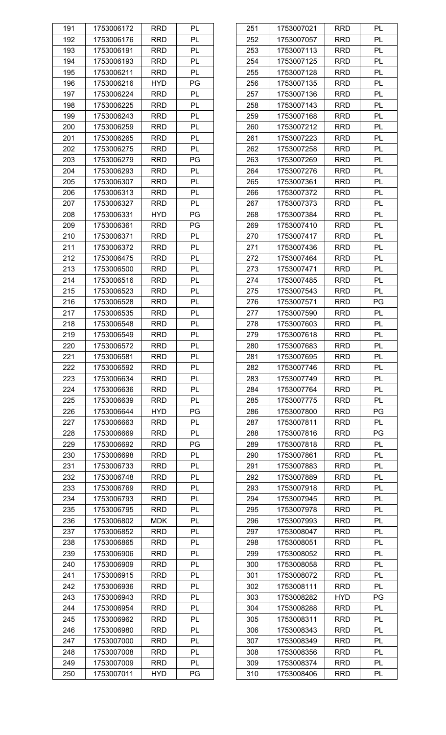| 191 | 1753006172 | <b>RRD</b> | PL |
|-----|------------|------------|----|
| 192 | 1753006176 | <b>RRD</b> | PL |
| 193 | 1753006191 | RRD        | PL |
| 194 | 1753006193 | <b>RRD</b> | PL |
| 195 | 1753006211 | <b>RRD</b> | PL |
| 196 | 1753006216 | <b>HYD</b> | PG |
| 197 | 1753006224 | <b>RRD</b> | PL |
| 198 | 1753006225 | <b>RRD</b> | PL |
| 199 | 1753006243 | <b>RRD</b> | PL |
| 200 | 1753006259 | <b>RRD</b> | PL |
| 201 | 1753006265 | <b>RRD</b> | PL |
| 202 | 1753006275 | <b>RRD</b> | PL |
| 203 | 1753006279 | <b>RRD</b> | PG |
| 204 | 1753006293 | <b>RRD</b> | PL |
| 205 | 1753006307 | <b>RRD</b> | PL |
|     |            |            |    |
| 206 | 1753006313 | <b>RRD</b> | PL |
| 207 | 1753006327 | <b>RRD</b> | PL |
| 208 | 1753006331 | <b>HYD</b> | PG |
| 209 | 1753006361 | <b>RRD</b> | PG |
| 210 | 1753006371 | <b>RRD</b> | PL |
| 211 | 1753006372 | <b>RRD</b> | PL |
| 212 | 1753006475 | <b>RRD</b> | PL |
| 213 | 1753006500 | <b>RRD</b> | PL |
| 214 | 1753006516 | <b>RRD</b> | PL |
| 215 | 1753006523 | <b>RRD</b> | PL |
| 216 | 1753006528 | <b>RRD</b> | PL |
| 217 | 1753006535 | <b>RRD</b> | PL |
| 218 | 1753006548 | <b>RRD</b> | PL |
| 219 | 1753006549 | <b>RRD</b> | PL |
| 220 | 1753006572 | <b>RRD</b> | PL |
| 221 | 1753006581 | <b>RRD</b> | PL |
| 222 | 1753006592 | <b>RRD</b> | PL |
| 223 | 1753006634 | RRD        | PL |
| 224 | 1753006636 | <b>RRD</b> | PL |
| 225 | 1753006639 | <b>RRD</b> | PL |
| 226 | 1753006644 | <b>HYD</b> | PG |
| 227 | 1753006663 | <b>RRD</b> | PL |
| 228 | 1753006669 | <b>RRD</b> | PL |
| 229 | 1753006692 | <b>RRD</b> | PG |
| 230 | 1753006698 | <b>RRD</b> | PL |
| 231 | 1753006733 | <b>RRD</b> | PL |
| 232 | 1753006748 | <b>RRD</b> | PL |
| 233 | 1753006769 | <b>RRD</b> | PL |
| 234 | 1753006793 | <b>RRD</b> | PL |
| 235 | 1753006795 | <b>RRD</b> | PL |
| 236 | 1753006802 | <b>MDK</b> | PL |
|     |            |            |    |
| 237 | 1753006852 | <b>RRD</b> | PL |
| 238 | 1753006865 | <b>RRD</b> | PL |
| 239 | 1753006906 | <b>RRD</b> | PL |
| 240 | 1753006909 | <b>RRD</b> | PL |
| 241 | 1753006915 | <b>RRD</b> | PL |
| 242 | 1753006936 | <b>RRD</b> | PL |
| 243 | 1753006943 | <b>RRD</b> | PL |
| 244 | 1753006954 | <b>RRD</b> | PL |
| 245 | 1753006962 | <b>RRD</b> | PL |
| 246 | 1753006980 | <b>RRD</b> | PL |
| 247 | 1753007000 | <b>RRD</b> | PL |
| 248 | 1753007008 | <b>RRD</b> | PL |
| 249 | 1753007009 | <b>RRD</b> | PL |
| 250 | 1753007011 | <b>HYD</b> | PG |

| 251        | 1753007021               | <b>RRD</b> | PL |
|------------|--------------------------|------------|----|
| 252        | 1753007057               | RRD        | PL |
| 253        | 1753007113               | RRD        | PL |
| 254        | 1753007125               | <b>RRD</b> | PL |
| 255        | 1753007128               | <b>RRD</b> | PL |
| 256        | 1753007135               | RRD        | PL |
| 257        | 1753007136               | RRD        | PL |
| 258        | 1753007143               | <b>RRD</b> | PL |
| 259        | 1753007168               | <b>RRD</b> | PL |
| 260        | 1753007212               | RRD        | PL |
| 261        | 1753007223               | RRD        | PL |
| 262        | 1753007258               | <b>RRD</b> | PL |
| 263        | 1753007269               | <b>RRD</b> | PL |
| 264        | 1753007276               | RRD        | PL |
| 265        | 1753007361               | RRD        | PL |
| 266        | 1753007372               | <b>RRD</b> | PL |
| 267        | 1753007373               | <b>RRD</b> | PL |
| 268        | 1753007384               | RRD        | PL |
| 269        | 1753007410               | RRD        | PL |
|            |                          | <b>RRD</b> | PL |
| 270<br>271 | 1753007417<br>1753007436 | <b>RRD</b> | PL |
|            |                          |            | PL |
| 272        | 1753007464               | RRD        | PL |
| 273        | 1753007471               | RRD        |    |
| 274        | 1753007485               | <b>RRD</b> | PL |
| 275        | 1753007543               | <b>RRD</b> | PL |
| 276        | 1753007571               | RRD        | PG |
| 277        | 1753007590               | <b>RRD</b> | PL |
| 278        | 1753007603               | <b>RRD</b> | PL |
| 279        | 1753007618               | <b>RRD</b> | PL |
| 280        | 1753007683               | <b>RRD</b> | PL |
| 281        | 1753007695               | <b>RRD</b> | PL |
| 282        | 1753007746               | RRD        | PL |
| 283        | 1753007749               | RRD        | PL |
| 284        | 1753007764               | <b>RRD</b> | PL |
| 285        | 1753007775               | <b>RRD</b> | PL |
| 286        | 1753007800               | RRD        | PG |
| 287        | 1753007811               | RRD        | PL |
| 288        | 1753007816               | RRD        | PG |
| 289        | 1753007818               | <b>RRD</b> | PL |
| 290        | 1753007861               | RRD        | PL |
| 291        | 1753007883               | RRD        | PL |
| 292        | 1753007889               | RRD        | PL |
| 293        | 1753007918               | <b>RRD</b> | PL |
| 294        | 1753007945               | RRD        | PL |
| 295        | 1753007978               | RRD        | PL |
| 296        | 1753007993               | RRD        | PL |
| 297        | 1753008047               | <b>RRD</b> | PL |
| 298        | 1753008051               | RRD        | PL |
| 299        | 1753008052               | RRD        | PL |
| 300        | 1753008058               | RRD        | PL |
| 301        | 1753008072               | <b>RRD</b> | PL |
| 302        | 1753008111               | RRD        | PL |
| 303        | 1753008282               | <b>HYD</b> | PG |
| 304        | 1753008288               | RRD        | PL |
| 305        | 1753008311               | <b>RRD</b> | PL |
| 306        | 1753008343               | RRD        | PL |
| 307        | 1753008349               | <b>RRD</b> | PL |
| 308        | 1753008356               | <b>RRD</b> | PL |
| 309        | 1753008374               | <b>RRD</b> | PL |
| 310        | 1753008406               | <b>RRD</b> | PL |
|            |                          |            |    |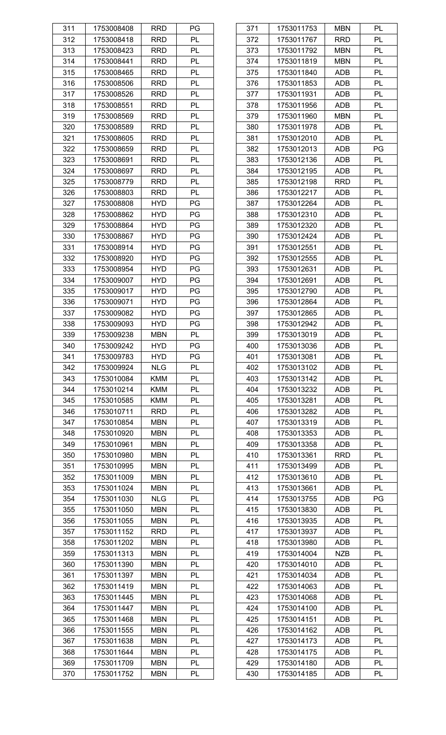| 311 | 1753008408 | <b>RRD</b> | PG |
|-----|------------|------------|----|
| 312 | 1753008418 | <b>RRD</b> | PL |
| 313 | 1753008423 | RRD        | PL |
| 314 | 1753008441 | <b>RRD</b> | PL |
| 315 | 1753008465 | <b>RRD</b> | PL |
| 316 | 1753008506 | <b>RRD</b> | PL |
| 317 | 1753008526 | RRD        | PL |
| 318 | 1753008551 | <b>RRD</b> | PL |
| 319 | 1753008569 | <b>RRD</b> | PL |
| 320 | 1753008589 | <b>RRD</b> | PL |
| 321 | 1753008605 | RRD        | PL |
| 322 | 1753008659 | <b>RRD</b> | PL |
|     | 1753008691 | <b>RRD</b> | PL |
| 323 |            |            |    |
| 324 | 1753008697 | <b>RRD</b> | PL |
| 325 | 1753008779 | <b>RRD</b> | PL |
| 326 | 1753008803 | <b>RRD</b> | PL |
| 327 | 1753008808 | <b>HYD</b> | PG |
| 328 | 1753008862 | <b>HYD</b> | PG |
| 329 | 1753008864 | <b>HYD</b> | PG |
| 330 | 1753008867 | <b>HYD</b> | PG |
| 331 | 1753008914 | <b>HYD</b> | PG |
| 332 | 1753008920 | <b>HYD</b> | PG |
| 333 | 1753008954 | <b>HYD</b> | PG |
| 334 | 1753009007 | <b>HYD</b> | PG |
| 335 | 1753009017 | <b>HYD</b> | PG |
| 336 | 1753009071 | <b>HYD</b> | PG |
| 337 | 1753009082 | <b>HYD</b> | PG |
| 338 | 1753009093 | <b>HYD</b> | PG |
| 339 | 1753009238 | <b>MBN</b> | PL |
| 340 | 1753009242 | <b>HYD</b> | PG |
| 341 | 1753009783 | <b>HYD</b> | PG |
| 342 | 1753009924 | <b>NLG</b> | PL |
| 343 | 1753010084 | <b>KMM</b> | PL |
| 344 | 1753010214 | <b>KMM</b> | PL |
| 345 | 1753010585 | <b>KMM</b> | PL |
| 346 | 1753010711 | <b>RRD</b> | PL |
| 347 | 1753010854 | <b>MBN</b> | PL |
| 348 | 1753010920 | <b>MBN</b> | PL |
| 349 | 1753010961 | <b>MBN</b> | PL |
| 350 | 1753010980 | <b>MBN</b> | PL |
| 351 | 1753010995 | <b>MBN</b> | PL |
| 352 | 1753011009 | <b>MBN</b> | PL |
| 353 | 1753011024 | <b>MBN</b> | PL |
| 354 | 1753011030 | <b>NLG</b> | PL |
| 355 | 1753011050 | <b>MBN</b> | PL |
|     |            | <b>MBN</b> |    |
| 356 | 1753011055 |            | PL |
| 357 | 1753011152 | <b>RRD</b> | PL |
| 358 | 1753011202 | <b>MBN</b> | PL |
| 359 | 1753011313 | <b>MBN</b> | PL |
| 360 | 1753011390 | <b>MBN</b> | PL |
| 361 | 1753011397 | <b>MBN</b> | PL |
| 362 | 1753011419 | <b>MBN</b> | PL |
| 363 | 1753011445 | <b>MBN</b> | PL |
| 364 | 1753011447 | <b>MBN</b> | PL |
| 365 | 1753011468 | <b>MBN</b> | PL |
| 366 | 1753011555 | <b>MBN</b> | PL |
| 367 | 1753011638 | <b>MBN</b> | PL |
| 368 | 1753011644 | <b>MBN</b> | PL |
| 369 | 1753011709 | <b>MBN</b> | PL |
| 370 | 1753011752 | <b>MBN</b> | PL |

| 371 | 1753011753 | MBN        | PL |
|-----|------------|------------|----|
| 372 | 1753011767 | <b>RRD</b> | PL |
| 373 | 1753011792 | <b>MBN</b> | PL |
| 374 | 1753011819 | <b>MBN</b> | PL |
| 375 | 1753011840 | ADB        | PL |
| 376 | 1753011853 | ADB        | PL |
| 377 | 1753011931 | <b>ADB</b> | PL |
| 378 | 1753011956 | ADB        | PL |
| 379 | 1753011960 | <b>MBN</b> | PL |
| 380 | 1753011978 | ADB        | PL |
| 381 | 1753012010 | <b>ADB</b> | PL |
| 382 | 1753012013 | ADB        | PG |
| 383 | 1753012136 | ADB        | PL |
| 384 | 1753012195 | ADB        | PL |
| 385 | 1753012198 | <b>RRD</b> | PL |
| 386 | 1753012217 |            | PL |
|     |            | ADB        | PL |
| 387 | 1753012264 | ADB        |    |
| 388 | 1753012310 | ADB        | PL |
| 389 | 1753012320 | ADB        | PL |
| 390 | 1753012424 | ADB        | PL |
| 391 | 1753012551 | ADB        | PL |
| 392 | 1753012555 | ADB        | PL |
| 393 | 1753012631 | ADB        | PL |
| 394 | 1753012691 | ADB        | PL |
| 395 | 1753012790 | ADB        | PL |
| 396 | 1753012864 | ADB        | PL |
| 397 | 1753012865 | ADB        | PL |
| 398 | 1753012942 | ADB        | PL |
| 399 | 1753013019 | ADB        | PL |
| 400 | 1753013036 | ADB        | PL |
| 401 | 1753013081 | ADB        | PL |
| 402 | 1753013102 | ADB        | PL |
| 403 | 1753013142 | ADB        | PL |
| 404 | 1753013232 | ADB        | PL |
| 405 | 1753013281 | <b>ADB</b> | PL |
| 406 | 1753013282 | ADB        | PL |
| 407 | 1753013319 | <b>ADB</b> | PL |
| 408 | 1753013353 | ADB        | PL |
| 409 | 1753013358 | ADB        | PL |
| 410 | 1753013361 | <b>RRD</b> | PL |
| 411 | 1753013499 | ADB        | PL |
| 412 | 1753013610 | ADB        | PL |
| 413 | 1753013661 | ADB        | PL |
| 414 | 1753013755 | ADB        | PG |
| 415 | 1753013830 | <b>ADB</b> | PL |
| 416 | 1753013935 | ADB        | PL |
| 417 | 1753013937 | ADB        | PL |
| 418 | 1753013980 | ADB        | PL |
| 419 | 1753014004 | <b>NZB</b> | PL |
| 420 | 1753014010 | ADB        | PL |
| 421 | 1753014034 | ADB        | PL |
| 422 | 1753014063 | ADB        | PL |
| 423 | 1753014068 | ADB        | PL |
| 424 | 1753014100 | ADB        | PL |
| 425 | 1753014151 | ADB        | PL |
| 426 | 1753014162 |            | PL |
|     |            | ADB        |    |
| 427 | 1753014173 | ADB        | PL |
| 428 | 1753014175 | ADB        | PL |
| 429 | 1753014180 | ADB        | PL |
| 430 | 1753014185 | ADB        | PL |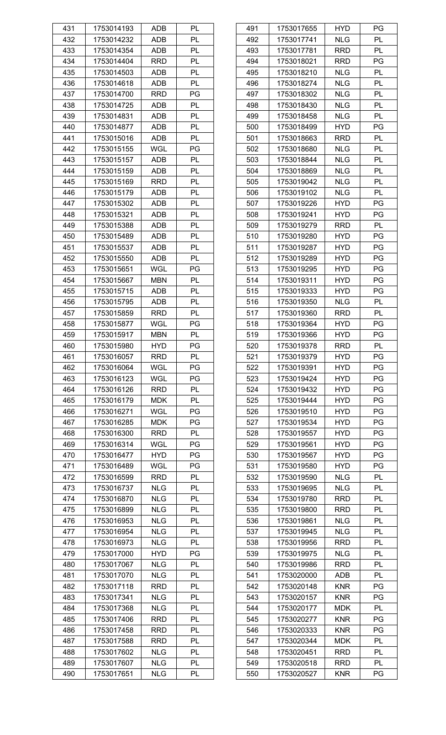| 431 | 1753014193 | ADB        | PL |
|-----|------------|------------|----|
| 432 | 1753014232 | ADB        | PL |
| 433 | 1753014354 | ADB        | PL |
| 434 | 1753014404 | <b>RRD</b> | PL |
| 435 | 1753014503 | ADB        | PL |
| 436 | 1753014618 | ADB        | PL |
| 437 | 1753014700 | RRD        | PG |
| 438 | 1753014725 | ADB        | PL |
| 439 | 1753014831 | ADB        | PL |
| 440 | 1753014877 | ADB        | PL |
| 441 | 1753015016 | ADB        | PL |
| 442 | 1753015155 | WGL        | PG |
|     |            |            |    |
| 443 | 1753015157 | ADB        | PL |
| 444 | 1753015159 | ADB        | PL |
| 445 | 1753015169 | RRD        | PL |
| 446 | 1753015179 | ADB        | PL |
| 447 | 1753015302 | ADB        | PL |
| 448 | 1753015321 | ADB        | PL |
| 449 | 1753015388 | ADB        | PL |
| 450 | 1753015489 | ADB        | PL |
| 451 | 1753015537 | ADB        | PL |
| 452 | 1753015550 | ADB        | PL |
| 453 | 1753015651 | WGL        | PG |
| 454 | 1753015667 | <b>MBN</b> | PL |
| 455 | 1753015715 | ADB        | PL |
| 456 | 1753015795 | ADB        | PL |
| 457 | 1753015859 | <b>RRD</b> | PL |
| 458 | 1753015877 | WGL        | РG |
| 459 | 1753015917 | <b>MBN</b> | PL |
| 460 | 1753015980 | HYD        | PG |
| 461 | 1753016057 | <b>RRD</b> | PL |
| 462 | 1753016064 | WGL        | PG |
| 463 | 1753016123 | WGL        | PG |
| 464 | 1753016126 | <b>RRD</b> | PL |
| 465 | 1753016179 | <b>MDK</b> | PL |
| 466 | 1753016271 | WGL        | PG |
| 467 | 1753016285 | <b>MDK</b> | PG |
| 468 | 1753016300 | <b>RRD</b> | PL |
|     |            |            |    |
| 469 | 1753016314 | WGL        | PG |
| 470 | 1753016477 | <b>HYD</b> | PG |
| 471 | 1753016489 | WGL        | PG |
| 472 | 1753016599 | <b>RRD</b> | PL |
| 473 | 1753016737 | <b>NLG</b> | PL |
| 474 | 1753016870 | <b>NLG</b> | PL |
| 475 | 1753016899 | <b>NLG</b> | PL |
| 476 | 1753016953 | <b>NLG</b> | PL |
| 477 | 1753016954 | <b>NLG</b> | PL |
| 478 | 1753016973 | <b>NLG</b> | PL |
| 479 | 1753017000 | <b>HYD</b> | PG |
| 480 | 1753017067 | <b>NLG</b> | PL |
| 481 | 1753017070 | <b>NLG</b> | PL |
| 482 | 1753017118 | <b>RRD</b> | PL |
| 483 | 1753017341 | <b>NLG</b> | PL |
| 484 | 1753017368 | <b>NLG</b> | PL |
| 485 | 1753017406 | RRD        | PL |
| 486 | 1753017458 | <b>RRD</b> | PL |
| 487 | 1753017588 | <b>RRD</b> | PL |
| 488 | 1753017602 | <b>NLG</b> | PL |
| 489 | 1753017607 | <b>NLG</b> | PL |
| 490 | 1753017651 | <b>NLG</b> | PL |
|     |            |            |    |

| 491 | 1753017655 | HYD        | РG |
|-----|------------|------------|----|
| 492 | 1753017741 | <b>NLG</b> | PL |
| 493 | 1753017781 | <b>RRD</b> | PL |
| 494 | 1753018021 | <b>RRD</b> | PG |
| 495 | 1753018210 | <b>NLG</b> | PL |
| 496 | 1753018274 | <b>NLG</b> | PL |
| 497 | 1753018302 | <b>NLG</b> | PL |
| 498 | 1753018430 | <b>NLG</b> | PL |
| 499 | 1753018458 | <b>NLG</b> | PL |
| 500 | 1753018499 | <b>HYD</b> | PG |
| 501 | 1753018663 | <b>RRD</b> | PL |
| 502 | 1753018680 | <b>NLG</b> | PL |
| 503 | 1753018844 | <b>NLG</b> | PL |
| 504 | 1753018869 | <b>NLG</b> | PL |
| 505 | 1753019042 | <b>NLG</b> | PL |
| 506 | 1753019102 | <b>NLG</b> | PL |
| 507 | 1753019226 | <b>HYD</b> | PG |
| 508 | 1753019241 | <b>HYD</b> | PG |
| 509 | 1753019279 | <b>RRD</b> | PL |
| 510 | 1753019280 | <b>HYD</b> | PG |
| 511 | 1753019287 | <b>HYD</b> | PG |
|     |            | <b>HYD</b> | PG |
| 512 | 1753019289 |            |    |
| 513 | 1753019295 | <b>HYD</b> | PG |
| 514 | 1753019311 | <b>HYD</b> | PG |
| 515 | 1753019333 | <b>HYD</b> | PG |
| 516 | 1753019350 | <b>NLG</b> | PL |
| 517 | 1753019360 | <b>RRD</b> | PL |
| 518 | 1753019364 | <b>HYD</b> | PG |
| 519 | 1753019366 | <b>HYD</b> | PG |
| 520 | 1753019378 | <b>RRD</b> | PL |
| 521 | 1753019379 | <b>HYD</b> | PG |
| 522 | 1753019391 | <b>HYD</b> | PG |
| 523 | 1753019424 | <b>HYD</b> | PG |
| 524 | 1753019432 | <b>HYD</b> | PG |
| 525 | 1753019444 | <b>HYD</b> | PG |
| 526 | 1753019510 | <b>HYD</b> | PG |
| 527 | 1753019534 | <b>HYD</b> | PG |
| 528 | 1753019557 | <b>HYD</b> | PG |
| 529 | 1753019561 | <b>HYD</b> | PG |
| 530 | 1753019567 | <b>HYD</b> | PG |
| 531 | 1753019580 | <b>HYD</b> | PG |
| 532 | 1753019590 | <b>NLG</b> | PL |
| 533 | 1753019695 | <b>NLG</b> | PL |
| 534 | 1753019780 | <b>RRD</b> | PL |
| 535 | 1753019800 | <b>RRD</b> | PL |
| 536 | 1753019861 | <b>NLG</b> | PL |
| 537 | 1753019945 | <b>NLG</b> | PL |
| 538 | 1753019956 | <b>RRD</b> | PL |
| 539 | 1753019975 | <b>NLG</b> | PL |
| 540 | 1753019986 | <b>RRD</b> | PL |
| 541 | 1753020000 | ADB        | PL |
| 542 | 1753020148 | <b>KNR</b> | PG |
| 543 | 1753020157 | <b>KNR</b> | PG |
| 544 | 1753020177 | <b>MDK</b> | PL |
| 545 | 1753020277 | <b>KNR</b> | PG |
| 546 | 1753020333 | <b>KNR</b> | PG |
| 547 | 1753020344 | <b>MDK</b> | PL |
| 548 | 1753020451 | <b>RRD</b> | PL |
| 549 | 1753020518 | <b>RRD</b> | PL |
| 550 | 1753020527 | <b>KNR</b> | PG |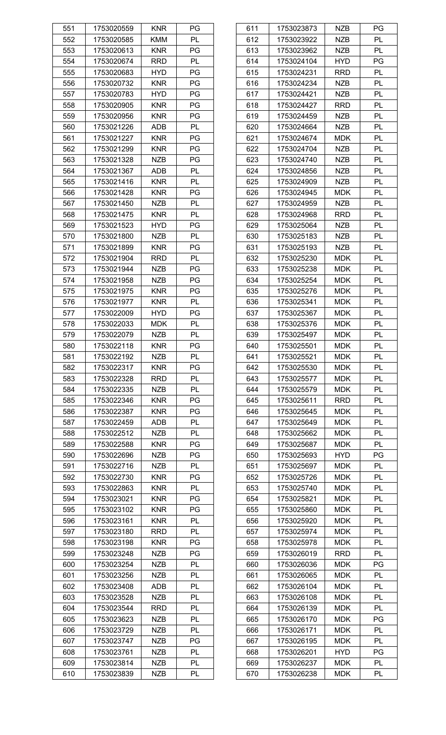| 551 | 1753020559 | <b>KNR</b> | PG |
|-----|------------|------------|----|
| 552 | 1753020585 | KMM        | PL |
| 553 | 1753020613 | <b>KNR</b> | PG |
| 554 | 1753020674 | <b>RRD</b> | PL |
| 555 | 1753020683 | <b>HYD</b> | PG |
| 556 | 1753020732 | <b>KNR</b> | PG |
| 557 | 1753020783 | <b>HYD</b> | PG |
| 558 | 1753020905 | <b>KNR</b> | PG |
| 559 | 1753020956 | <b>KNR</b> | PG |
| 560 | 1753021226 | <b>ADB</b> | PL |
| 561 | 1753021227 | <b>KNR</b> | PG |
| 562 | 1753021299 | <b>KNR</b> | PG |
|     |            |            |    |
| 563 | 1753021328 | <b>NZB</b> | PG |
| 564 | 1753021367 | ADB        | PL |
| 565 | 1753021416 | <b>KNR</b> | PL |
| 566 | 1753021428 | <b>KNR</b> | PG |
| 567 | 1753021450 | <b>NZB</b> | PL |
| 568 | 1753021475 | <b>KNR</b> | PL |
| 569 | 1753021523 | <b>HYD</b> | PG |
| 570 | 1753021800 | <b>NZB</b> | PL |
| 571 | 1753021899 | <b>KNR</b> | PG |
| 572 | 1753021904 | <b>RRD</b> | PL |
| 573 | 1753021944 | <b>NZB</b> | PG |
| 574 | 1753021958 | <b>NZB</b> | PG |
| 575 | 1753021975 | <b>KNR</b> | PG |
| 576 | 1753021977 | <b>KNR</b> | PL |
| 577 | 1753022009 | <b>HYD</b> | PG |
| 578 | 1753022033 | <b>MDK</b> | PL |
| 579 | 1753022079 | <b>NZB</b> | PL |
| 580 | 1753022118 | <b>KNR</b> | PG |
| 581 | 1753022192 | <b>NZB</b> | PL |
| 582 | 1753022317 | <b>KNR</b> | PG |
| 583 | 1753022328 | RRD        | PL |
| 584 | 1753022335 | <b>NZB</b> | PL |
| 585 | 1753022346 | <b>KNR</b> | PG |
| 586 | 1753022387 | <b>KNR</b> | PG |
| 587 | 1753022459 | ADB        | PL |
| 588 | 1753022512 | <b>NZB</b> | PL |
| 589 | 1753022588 | <b>KNR</b> | PG |
|     |            |            |    |
| 590 | 1753022696 | <b>NZB</b> | PG |
| 591 | 1753022716 | <b>NZB</b> | PL |
| 592 | 1753022730 | <b>KNR</b> | PG |
| 593 | 1753022863 | <b>KNR</b> | PL |
| 594 | 1753023021 | <b>KNR</b> | PG |
| 595 | 1753023102 | <b>KNR</b> | PG |
| 596 | 1753023161 | <b>KNR</b> | PL |
| 597 | 1753023180 | <b>RRD</b> | PL |
| 598 | 1753023198 | <b>KNR</b> | PG |
| 599 | 1753023248 | <b>NZB</b> | PG |
| 600 | 1753023254 | <b>NZB</b> | PL |
| 601 | 1753023256 | <b>NZB</b> | PL |
| 602 | 1753023408 | ADB        | PL |
| 603 | 1753023528 | <b>NZB</b> | PL |
| 604 | 1753023544 | <b>RRD</b> | PL |
| 605 | 1753023623 | <b>NZB</b> | PL |
| 606 | 1753023729 | <b>NZB</b> | PL |
| 607 | 1753023747 | <b>NZB</b> | PG |
| 608 | 1753023761 | <b>NZB</b> | PL |
| 609 | 1753023814 | <b>NZB</b> | PL |
| 610 | 1753023839 | NZB        | PL |
|     |            |            |    |

| 611 | 1753023873 | NZB        | РG |
|-----|------------|------------|----|
| 612 | 1753023922 | <b>NZB</b> | PL |
| 613 | 1753023962 | <b>NZB</b> | PL |
| 614 | 1753024104 | <b>HYD</b> | PG |
| 615 | 1753024231 | <b>RRD</b> | PL |
| 616 | 1753024234 | <b>NZB</b> | PL |
| 617 | 1753024421 | <b>NZB</b> | PL |
|     |            |            |    |
| 618 | 1753024427 | <b>RRD</b> | PL |
| 619 | 1753024459 | <b>NZB</b> | PL |
| 620 | 1753024664 | <b>NZB</b> | PL |
| 621 | 1753024674 | <b>MDK</b> | PL |
| 622 | 1753024704 | <b>NZB</b> | PL |
| 623 | 1753024740 | <b>NZB</b> | PL |
| 624 | 1753024856 | <b>NZB</b> | PL |
| 625 | 1753024909 | <b>NZB</b> | PL |
| 626 | 1753024945 | MDK        | PL |
| 627 | 1753024959 | <b>NZB</b> | PL |
| 628 | 1753024968 | <b>RRD</b> | PL |
| 629 | 1753025064 | <b>NZB</b> | PL |
| 630 | 1753025183 | <b>NZB</b> | PL |
|     |            |            |    |
| 631 | 1753025193 | <b>NZB</b> | PL |
| 632 | 1753025230 | <b>MDK</b> | PL |
| 633 | 1753025238 | <b>MDK</b> | PL |
| 634 | 1753025254 | <b>MDK</b> | PL |
| 635 | 1753025276 | <b>MDK</b> | PL |
| 636 | 1753025341 | <b>MDK</b> | PL |
| 637 | 1753025367 | <b>MDK</b> | PL |
| 638 | 1753025376 | <b>MDK</b> | PL |
| 639 | 1753025497 | <b>MDK</b> | PL |
| 640 | 1753025501 | MDK        | PL |
| 641 | 1753025521 | <b>MDK</b> | PL |
| 642 | 1753025530 | <b>MDK</b> | PL |
| 643 | 1753025577 | <b>MDK</b> | PL |
| 644 | 1753025579 | <b>MDK</b> | PL |
| 645 | 1753025611 | <b>RRD</b> | PL |
| 646 | 1753025645 | <b>MDK</b> | PL |
| 647 | 1753025649 | <b>MDK</b> | PL |
| 648 |            | <b>MDK</b> | PL |
|     | 1753025662 |            |    |
| 649 | 1753025687 | <b>MDK</b> | PL |
| 650 | 1753025693 | <b>HYD</b> | PG |
| 651 | 1753025697 | <b>MDK</b> | PL |
| 652 | 1753025726 | <b>MDK</b> | PL |
| 653 | 1753025740 | <b>MDK</b> | PL |
| 654 | 1753025821 | <b>MDK</b> | PL |
| 655 | 1753025860 | <b>MDK</b> | PL |
| 656 | 1753025920 | <b>MDK</b> | PL |
| 657 | 1753025974 | <b>MDK</b> | PL |
| 658 | 1753025978 | <b>MDK</b> | PL |
| 659 | 1753026019 | <b>RRD</b> | PL |
| 660 | 1753026036 | <b>MDK</b> | PG |
| 661 | 1753026065 | <b>MDK</b> | PL |
| 662 | 1753026104 | <b>MDK</b> | PL |
| 663 | 1753026108 | <b>MDK</b> | PL |
| 664 | 1753026139 | <b>MDK</b> | PL |
|     |            |            |    |
| 665 | 1753026170 | <b>MDK</b> | PG |
| 666 | 1753026171 | <b>MDK</b> | PL |
| 667 | 1753026195 | <b>MDK</b> | PL |
| 668 | 1753026201 | <b>HYD</b> | PG |
| 669 | 1753026237 | <b>MDK</b> | PL |
| 670 | 1753026238 | MDK        | PL |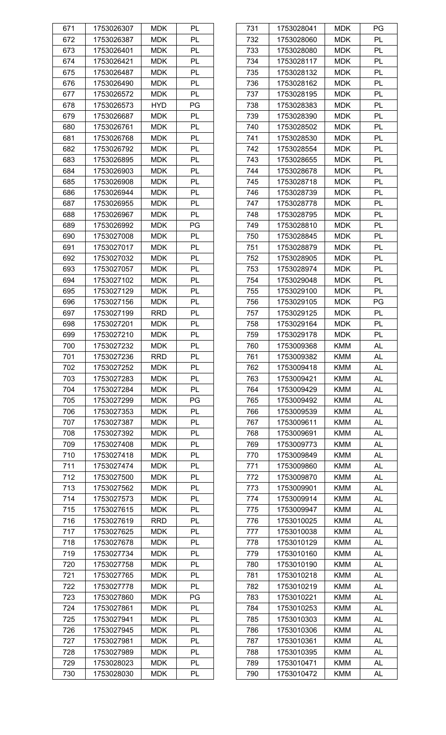| 671 | 1753026307 | <b>MDK</b> | PL |
|-----|------------|------------|----|
| 672 | 1753026387 | <b>MDK</b> | PL |
| 673 | 1753026401 | <b>MDK</b> | PL |
| 674 | 1753026421 | <b>MDK</b> | PL |
| 675 | 1753026487 | <b>MDK</b> | PL |
| 676 | 1753026490 | <b>MDK</b> | PL |
| 677 | 1753026572 | <b>MDK</b> | PL |
| 678 | 1753026573 | <b>HYD</b> | PG |
| 679 | 1753026687 | <b>MDK</b> | PL |
| 680 | 1753026761 | <b>MDK</b> | PL |
| 681 | 1753026768 | <b>MDK</b> | PL |
| 682 | 1753026792 | <b>MDK</b> | PL |
|     |            |            |    |
| 683 | 1753026895 | <b>MDK</b> | PL |
| 684 | 1753026903 | <b>MDK</b> | PL |
| 685 | 1753026908 | <b>MDK</b> | PL |
| 686 | 1753026944 | <b>MDK</b> | PL |
| 687 | 1753026955 | <b>MDK</b> | PL |
| 688 | 1753026967 | <b>MDK</b> | PL |
| 689 | 1753026992 | <b>MDK</b> | PG |
| 690 | 1753027008 | <b>MDK</b> | PL |
| 691 | 1753027017 | <b>MDK</b> | PL |
| 692 | 1753027032 | <b>MDK</b> | PL |
| 693 | 1753027057 | <b>MDK</b> | PL |
| 694 | 1753027102 | <b>MDK</b> | PL |
| 695 | 1753027129 | <b>MDK</b> | PL |
| 696 | 1753027156 | <b>MDK</b> | PL |
| 697 | 1753027199 | <b>RRD</b> | PL |
| 698 | 1753027201 | <b>MDK</b> | PL |
| 699 | 1753027210 | <b>MDK</b> | PL |
| 700 | 1753027232 | <b>MDK</b> | PL |
| 701 | 1753027236 | <b>RRD</b> | PL |
| 702 | 1753027252 | <b>MDK</b> | PL |
| 703 | 1753027283 | <b>MDK</b> | PL |
| 704 | 1753027284 | <b>MDK</b> | PL |
| 705 | 1753027299 | <b>MDK</b> | PG |
| 706 | 1753027353 | <b>MDK</b> | PL |
| 707 | 1753027387 | <b>MDK</b> | PL |
| 708 | 1753027392 | <b>MDK</b> | PL |
|     |            |            |    |
| 709 | 1753027408 | <b>MDK</b> | PL |
| 710 | 1753027418 | <b>MDK</b> | PL |
| 711 | 1753027474 | <b>MDK</b> | PL |
| 712 | 1753027500 | <b>MDK</b> | PL |
| 713 | 1753027562 | <b>MDK</b> | PL |
| 714 | 1753027573 | <b>MDK</b> | PL |
| 715 | 1753027615 | <b>MDK</b> | PL |
| 716 | 1753027619 | <b>RRD</b> | PL |
| 717 | 1753027625 | <b>MDK</b> | PL |
| 718 | 1753027678 | <b>MDK</b> | PL |
| 719 | 1753027734 | <b>MDK</b> | PL |
| 720 | 1753027758 | <b>MDK</b> | PL |
| 721 | 1753027765 | <b>MDK</b> | PL |
| 722 | 1753027778 | <b>MDK</b> | PL |
| 723 | 1753027860 | <b>MDK</b> | PG |
| 724 | 1753027861 | <b>MDK</b> | PL |
| 725 |            | <b>MDK</b> | PL |
|     | 1753027941 |            |    |
| 726 | 1753027945 | <b>MDK</b> | PL |
| 727 | 1753027981 | <b>MDK</b> | PL |
| 728 | 1753027989 | <b>MDK</b> | PL |
| 729 | 1753028023 | <b>MDK</b> | PL |

| 731 | 1753028041 | <b>MDK</b> | PG        |
|-----|------------|------------|-----------|
| 732 | 1753028060 | <b>MDK</b> | PL        |
| 733 | 1753028080 | <b>MDK</b> | PL        |
| 734 | 1753028117 | <b>MDK</b> | PL        |
| 735 | 1753028132 | <b>MDK</b> | PL        |
| 736 | 1753028162 | <b>MDK</b> | PL        |
| 737 | 1753028195 | <b>MDK</b> | PL        |
| 738 | 1753028383 | <b>MDK</b> | PL        |
| 739 | 1753028390 | <b>MDK</b> | PL        |
| 740 | 1753028502 | <b>MDK</b> | PL        |
| 741 | 1753028530 | <b>MDK</b> | PL        |
| 742 | 1753028554 | <b>MDK</b> | PL        |
| 743 | 1753028655 | <b>MDK</b> | PL        |
| 744 | 1753028678 | <b>MDK</b> | PL        |
| 745 | 1753028718 | <b>MDK</b> | PL        |
| 746 | 1753028739 | <b>MDK</b> | PL        |
| 747 | 1753028778 | <b>MDK</b> | PL        |
| 748 | 1753028795 | <b>MDK</b> | PL        |
| 749 |            | <b>MDK</b> | PL        |
|     | 1753028810 |            |           |
| 750 | 1753028845 | <b>MDK</b> | PL        |
| 751 | 1753028879 | <b>MDK</b> | PL        |
| 752 | 1753028905 | <b>MDK</b> | PL        |
| 753 | 1753028974 | <b>MDK</b> | PL        |
| 754 | 1753029048 | <b>MDK</b> | PL        |
| 755 | 1753029100 | <b>MDK</b> | PL        |
| 756 | 1753029105 | <b>MDK</b> | PG        |
| 757 | 1753029125 | <b>MDK</b> | PL        |
| 758 | 1753029164 | <b>MDK</b> | PL        |
| 759 | 1753029178 | <b>MDK</b> | PL        |
| 760 | 1753009368 | <b>KMM</b> | AL        |
| 761 | 1753009382 | <b>KMM</b> | AL        |
| 762 | 1753009418 | <b>KMM</b> | <b>AL</b> |
| 763 | 1753009421 | <b>KMM</b> | <b>AL</b> |
| 764 | 1753009429 | <b>KMM</b> | AL        |
| 765 | 1753009492 | <b>KMM</b> | AL        |
| 766 | 1753009539 | <b>KMM</b> | AL        |
| 767 | 1753009611 | <b>KMM</b> | AL        |
| 768 | 1753009691 | <b>KMM</b> | <b>AL</b> |
| 769 | 1753009773 | <b>KMM</b> | AL        |
| 770 | 1753009849 | <b>KMM</b> | AL        |
| 771 | 1753009860 | <b>KMM</b> | AL        |
| 772 | 1753009870 | <b>KMM</b> | AL        |
| 773 | 1753009901 | <b>KMM</b> | <b>AL</b> |
| 774 | 1753009914 | <b>KMM</b> | AL        |
| 775 | 1753009947 | <b>KMM</b> | AL        |
| 776 | 1753010025 | <b>KMM</b> | AL        |
| 777 | 1753010038 | <b>KMM</b> | <b>AL</b> |
| 778 | 1753010129 | <b>KMM</b> | AL        |
| 779 | 1753010160 | <b>KMM</b> | AL        |
| 780 | 1753010190 | <b>KMM</b> | AL        |
| 781 | 1753010218 | <b>KMM</b> | <b>AL</b> |
| 782 | 1753010219 | <b>KMM</b> | AL        |
| 783 | 1753010221 | <b>KMM</b> | AL        |
| 784 | 1753010253 | <b>KMM</b> | AL        |
| 785 | 1753010303 | <b>KMM</b> | <b>AL</b> |
| 786 | 1753010306 | <b>KMM</b> | AL        |
| 787 | 1753010361 | <b>KMM</b> | <b>AL</b> |
| 788 | 1753010395 | <b>KMM</b> | AL        |
| 789 | 1753010471 | <b>KMM</b> | <b>AL</b> |
| 790 | 1753010472 | <b>KMM</b> | AL        |